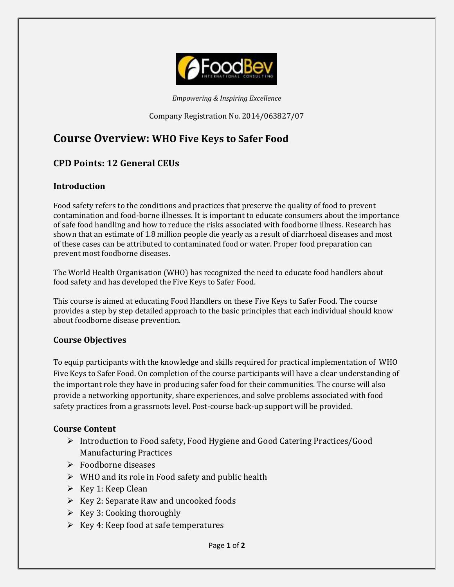

*Empowering & Inspiring Excellence*

Company Registration No. 2014/063827/07

# **Course Overview: WHO Five Keys to Safer Food**

# **CPD Points: 12 General CEUs**

# **Introduction**

Food safety refers to the conditions and practices that preserve the quality of food to prevent contamination and food-borne illnesses. It is important to educate consumers about the importance of safe food handling and how to reduce the risks associated with foodborne illness. Research has shown that an estimate of 1.8 million people die yearly as a result of diarrhoeal diseases and most of these cases can be attributed to contaminated food or water. Proper food preparation can prevent most foodborne diseases.

The World Health Organisation (WHO) has recognized the need to educate food handlers about food safety and has developed the Five Keys to Safer Food.

This course is aimed at educating Food Handlers on these Five Keys to Safer Food. The course provides a step by step detailed approach to the basic principles that each individual should know about foodborne disease prevention.

#### **Course Objectives**

To equip participants with the knowledge and skills required for practical implementation of WHO Five Keys to Safer Food. On completion of the course participants will have a clear understanding of the important role they have in producing safer food for their communities. The course will also provide a networking opportunity, share experiences, and solve problems associated with food safety practices from a grassroots level. Post-course back-up support will be provided.

#### **Course Content**

- Introduction to Food safety, Food Hygiene and Good Catering Practices/Good Manufacturing Practices
- Foodborne diseases
- $\triangleright$  WHO and its role in Food safety and public health
- $\triangleright$  Key 1: Keep Clean
- $\triangleright$  Key 2: Separate Raw and uncooked foods
- $\triangleright$  Key 3: Cooking thoroughly
- $\triangleright$  Key 4: Keep food at safe temperatures